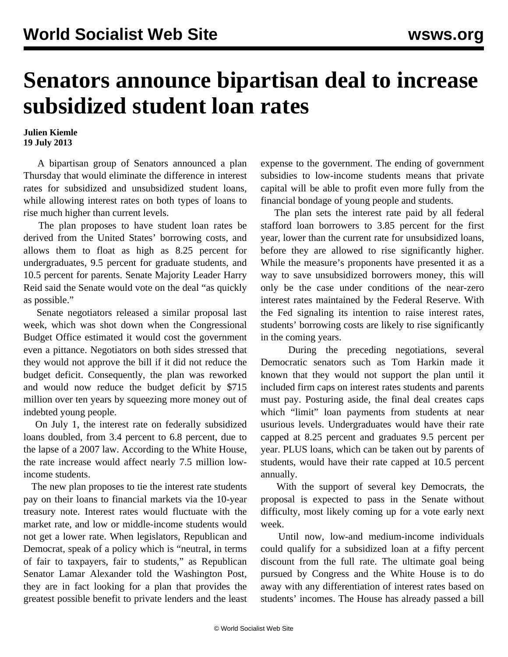## **Senators announce bipartisan deal to increase subsidized student loan rates**

## **Julien Kiemle 19 July 2013**

 A bipartisan group of Senators announced a plan Thursday that would eliminate the difference in interest rates for subsidized and unsubsidized student loans, while allowing interest rates on both types of loans to rise much higher than current levels.

 The plan proposes to have student loan rates be derived from the United States' borrowing costs, and allows them to float as high as 8.25 percent for undergraduates, 9.5 percent for graduate students, and 10.5 percent for parents. Senate Majority Leader Harry Reid said the Senate would vote on the deal "as quickly as possible."

 Senate negotiators released a similar proposal last week, which was shot down when the Congressional Budget Office estimated it would cost the government even a pittance. Negotiators on both sides stressed that they would not approve the bill if it did not reduce the budget deficit. Consequently, the plan was reworked and would now reduce the budget deficit by \$715 million over ten years by squeezing more money out of indebted young people.

 On July 1, the interest rate on federally subsidized loans doubled, from 3.4 percent to 6.8 percent, due to the lapse of a 2007 law. According to the White House, the rate increase would affect nearly 7.5 million lowincome students.

 The new plan proposes to tie the interest rate students pay on their loans to financial markets via the 10-year treasury note. Interest rates would fluctuate with the market rate, and low or middle-income students would not get a lower rate. When legislators, Republican and Democrat, speak of a policy which is "neutral, in terms of fair to taxpayers, fair to students," as Republican Senator Lamar Alexander told the Washington Post, they are in fact looking for a plan that provides the greatest possible benefit to private lenders and the least

expense to the government. The ending of government subsidies to low-income students means that private capital will be able to profit even more fully from the financial bondage of young people and students.

 The plan sets the interest rate paid by all federal stafford loan borrowers to 3.85 percent for the first year, lower than the current rate for unsubsidized loans, before they are allowed to rise significantly higher. While the measure's proponents have presented it as a way to save unsubsidized borrowers money, this will only be the case under conditions of the near-zero interest rates maintained by the Federal Reserve. With the Fed signaling its intention to raise interest rates, students' borrowing costs are likely to rise significantly in the coming years.

 During the preceding negotiations, several Democratic senators such as Tom Harkin made it known that they would not support the plan until it included firm caps on interest rates students and parents must pay. Posturing aside, the final deal creates caps which "limit" loan payments from students at near usurious levels. Undergraduates would have their rate capped at 8.25 percent and graduates 9.5 percent per year. PLUS loans, which can be taken out by parents of students, would have their rate capped at 10.5 percent annually.

 With the support of several key Democrats, the proposal is expected to pass in the Senate without difficulty, most likely coming up for a vote early next week.

 Until now, low-and medium-income individuals could qualify for a subsidized loan at a fifty percent discount from the full rate. The ultimate goal being pursued by Congress and the White House is to do away with any differentiation of interest rates based on students' incomes. The House has already passed a bill